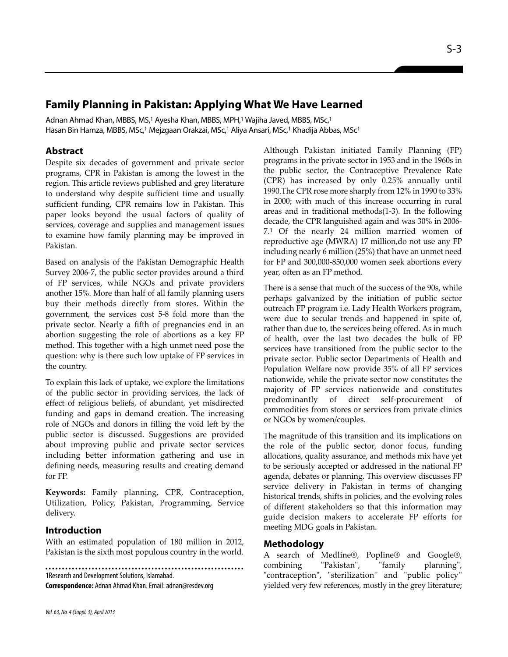# **Family Planning in Pakistan: Applying What We Have Learned**

Adnan Ahmad Khan, MBBS, MS,<sup>1</sup> Ayesha Khan, MBBS, MPH,<sup>1</sup> Wajiha Javed, MBBS, MSc,<sup>1</sup> Hasan Bin Hamza, MBBS, MSc,<sup>1</sup> Mejzgaan Orakzai, MSc,<sup>1</sup> Aliya Ansari, MSc,<sup>1</sup> Khadija Abbas, MSc<sup>1</sup>

# **Abstract**

Despite six decades of government and private sector programs, CPR in Pakistan is among the lowest in the region. This article reviews published and grey literature to understand why despite sufficient time and usually sufficient funding, CPR remains low in Pakistan. This paper looks beyond the usual factors of quality of services, coverage and supplies and management issues to examine how family planning may be improved in Pakistan.

Based on analysis of the Pakistan Demographic Health Survey 2006-7, the public sector provides around a third of FP services, while NGOs and private providers another 15%. More than half of all family planning users buy their methods directly from stores. Within the government, the services cost 5-8 fold more than the private sector. Nearly a fifth of pregnancies end in an abortion suggesting the role of abortions as a key FP method. This together with a high unmet need pose the question: why is there such low uptake of FP services in the country.

To explain this lack of uptake, we explore the limitations of the public sector in providing services, the lack of effect of religious beliefs, of abundant, yet misdirected funding and gaps in demand creation. The increasing role of NGOs and donors in filling the void left by the public sector is discussed. Suggestions are provided about improving public and private sector services including better information gathering and use in defining needs, measuring results and creating demand for FP.

**Keywords:** Family planning, CPR, Contraception, Utilization, Policy, Pakistan, Programming, Service delivery.

## **Introduction**

With an estimated population of 180 million in 2012, Pakistan is the sixth most populous country in the world.

1Research and Development Solutions, Islamabad. **Correspondence:** Adnan Ahmad Khan. Email: adnan@resdev.org

*Vol. 63, No. 4 (Suppl. 3), April 2013*

Although Pakistan initiated Family Planning (FP) programs in the private sector in 1953 and in the 1960s in the public sector, the Contraceptive Prevalence Rate (CPR) has increased by only 0.25% annually until 1990.The CPR rose more sharply from 12% in 1990 to 33% in 2000; with much of this increase occurring in rural areas and in traditional methods(1-3). In the following decade, the CPR languished again and was 30% in 2006- 7.<sup>1</sup> Of the nearly 24 million married women of reproductive age (MWRA) 17 million,do not use any FP including nearly 6 million (25%) that have an unmet need for FP and 300,000-850,000 women seek abortions every year, often as an FP method.

There is a sense that much of the success of the 90s, while perhaps galvanized by the initiation of public sector outreach FP program i.e. Lady Health Workers program, were due to secular trends and happened in spite of, rather than due to, the services being offered. As in much of health, over the last two decades the bulk of FP services have transitioned from the public sector to the private sector. Public sector Departments of Health and Population Welfare now provide 35% of all FP services nationwide, while the private sector now constitutes the majority of FP services nationwide and constitutes predominantly of direct self-procurement of commodities from stores or services from private clinics or NGOs by women/couples.

The magnitude of this transition and its implications on the role of the public sector, donor focus, funding allocations, quality assurance, and methods mix have yet to be seriously accepted or addressed in the national FP agenda, debates or planning. This overview discusses FP service delivery in Pakistan in terms of changing historical trends, shifts in policies, and the evolving roles of different stakeholders so that this information may guide decision makers to accelerate FP efforts for meeting MDG goals in Pakistan.

## **Methodology**

A search of Medline®, Popline® and Google®, combining "Pakistan", "family planning", "contraception", "sterilization'' and "public policy'' yielded very few references, mostly in the grey literature;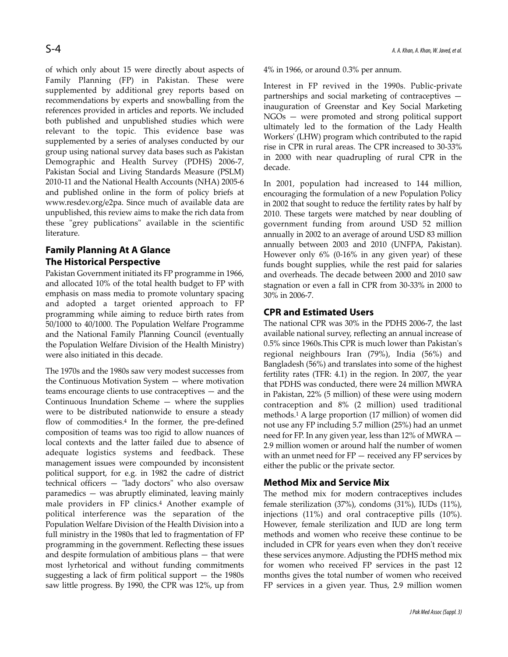of which only about 15 were directly about aspects of Family Planning (FP) in Pakistan. These were supplemented by additional grey reports based on recommendations by experts and snowballing from the references provided in articles and reports. We included both published and unpublished studies which were relevant to the topic. This evidence base was supplemented by a series of analyses conducted by our group using national survey data bases such as Pakistan Demographic and Health Survey (PDHS) 2006-7, Pakistan Social and Living Standards Measure (PSLM) 2010-11 and the National Health Accounts (NHA) 2005-6 and published online in the form of policy briefs at www.resdev.org/e2pa. Since much of available data are unpublished, this review aims to make the rich data from these "grey publications" available in the scientific literature.

# **Family Planning At A Glance The Historical Perspective**

Pakistan Government initiated its FP programme in 1966, and allocated 10% of the total health budget to FP with emphasis on mass media to promote voluntary spacing and adopted a target oriented approach to FP programming while aiming to reduce birth rates from 50/1000 to 40/1000. The Population Welfare Programme and the National Family Planning Council (eventually the Population Welfare Division of the Health Ministry) were also initiated in this decade.

The 1970s and the 1980s saw very modest successes from the Continuous Motivation System — where motivation teams encourage clients to use contraceptives — and the Continuous Inundation Scheme — where the supplies were to be distributed nationwide to ensure a steady flow of commodities.<sup>4</sup> In the former, the pre-defined composition of teams was too rigid to allow nuances of local contexts and the latter failed due to absence of adequate logistics systems and feedback. These management issues were compounded by inconsistent political support, for e.g. in 1982 the cadre of district technical officers — "lady doctors" who also oversaw paramedics — was abruptly eliminated, leaving mainly male providers in FP clinics.<sup>4</sup> Another example of political interference was the separation of the Population Welfare Division of the Health Division into a full ministry in the 1980s that led to fragmentation of FP programming in the government. Reflecting these issues and despite formulation of ambitious plans — that were most lyrhetorical and without funding commitments suggesting a lack of firm political support — the 1980s saw little progress. By 1990, the CPR was 12%, up from

4% in 1966, or around 0.3% per annum.

Interest in FP revived in the 1990s. Public-private partnerships and social marketing of contraceptives inauguration of Greenstar and Key Social Marketing NGOs — were promoted and strong political support ultimately led to the formation of the Lady Health Workers' (LHW) program which contributed to the rapid rise in CPR in rural areas. The CPR increased to 30-33% in 2000 with near quadrupling of rural CPR in the decade.

In 2001, population had increased to 144 million, encouraging the formulation of a new Population Policy in 2002 that sought to reduce the fertility rates by half by 2010. These targets were matched by near doubling of government funding from around USD 52 million annually in 2002 to an average of around USD 83 million annually between 2003 and 2010 (UNFPA, Pakistan). However only 6% (0-16% in any given year) of these funds bought supplies, while the rest paid for salaries and overheads. The decade between 2000 and 2010 saw stagnation or even a fall in CPR from 30-33% in 2000 to 30% in 2006-7.

### **CPR and Estimated Users**

The national CPR was 30% in the PDHS 2006-7, the last available national survey, reflecting an annual increase of 0.5% since 1960s.This CPR is much lower than Pakistan's regional neighbours Iran (79%), India (56%) and Bangladesh (56%) and translates into some of the highest fertility rates (TFR: 4.1) in the region. In 2007, the year that PDHS was conducted, there were 24 million MWRA in Pakistan, 22% (5 million) of these were using modern contraception and 8% (2 million) used traditional methods.<sup>1</sup> A large proportion (17 million) of women did not use any FP including 5.7 million (25%) had an unmet need for FP. In any given year, less than 12% of MWRA — 2.9 million women or around half the number of women with an unmet need for FP — received any FP services by either the public or the private sector.

### **Method Mix and Service Mix**

The method mix for modern contraceptives includes female sterilization (37%), condoms (31%), IUDs (11%), injections (11%) and oral contraceptive pills (10%). However, female sterilization and IUD are long term methods and women who receive these continue to be included in CPR for years even when they don't receive these services anymore. Adjusting the PDHS method mix for women who received FP services in the past 12 months gives the total number of women who received FP services in a given year. Thus, 2.9 million women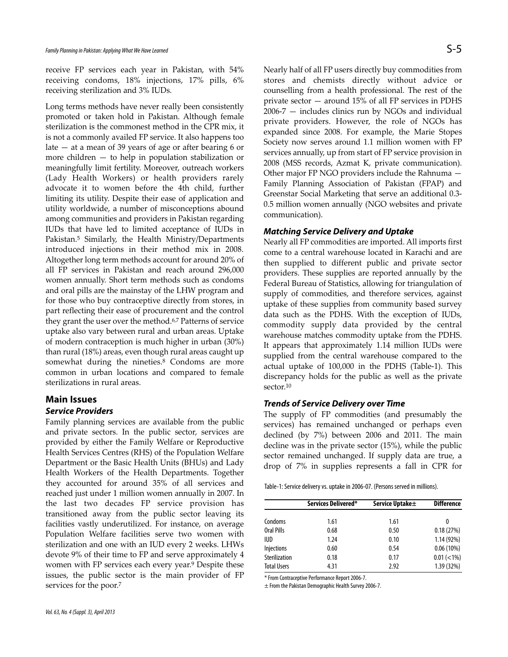receive FP services each year in Pakistan, with 54% receiving condoms, 18% injections, 17% pills, 6% receiving sterilization and 3% IUDs.

Long terms methods have never really been consistently promoted or taken hold in Pakistan. Although female sterilization is the commonest method in the CPR mix, it is not a commonly availed FP service. It also happens too late  $-$  at a mean of 39 years of age or after bearing 6 or more children — to help in population stabilization or meaningfully limit fertility. Moreover, outreach workers (Lady Health Workers) or health providers rarely advocate it to women before the 4th child, further limiting its utility. Despite their ease of application and utility worldwide, a number of misconceptions abound among communities and providers in Pakistan regarding IUDs that have led to limited acceptance of IUDs in Pakistan.<sup>5</sup> Similarly, the Health Ministry/Departments introduced injections in their method mix in 2008. Altogether long term methods account for around 20% of all FP services in Pakistan and reach around 296,000 women annually. Short term methods such as condoms and oral pills are the mainstay of the LHW program and for those who buy contraceptive directly from stores, in part reflecting their ease of procurement and the control they grant the user over the method.6,7 Patterns of service uptake also vary between rural and urban areas. Uptake of modern contraception is much higher in urban (30%) than rural (18%) areas, even though rural areas caught up somewhat during the nineties.<sup>8</sup> Condoms are more common in urban locations and compared to female sterilizations in rural areas.

### **Main Issues**

#### **Service Providers**

Family planning services are available from the public and private sectors. In the public sector, services are provided by either the Family Welfare or Reproductive Health Services Centres (RHS) of the Population Welfare Department or the Basic Health Units (BHUs) and Lady Health Workers of the Health Departments. Together they accounted for around 35% of all services and reached just under 1 million women annually in 2007. In the last two decades FP service provision has transitioned away from the public sector leaving its facilities vastly underutilized. For instance, on average Population Welfare facilities serve two women with sterilization and one with an IUD every 2 weeks. LHWs devote 9% of their time to FP and serve approximately 4 women with FP services each every year.<sup>9</sup> Despite these issues, the public sector is the main provider of FP services for the poor.<sup>7</sup>

Nearly half of all FP users directly buy commodities from stores and chemists directly without advice or counselling from a health professional. The rest of the private sector — around 15% of all FP services in PDHS 2006-7 — includes clinics run by NGOs and individual private providers. However, the role of NGOs has expanded since 2008. For example, the Marie Stopes Society now serves around 1.1 million women with FP services annually, up from start of FP service provision in 2008 (MSS records, Azmat K, private communication). Other major FP NGO providers include the Rahnuma — Family Planning Association of Pakistan (FPAP) and Greenstar Social Marketing that serve an additional 0.3- 0.5 million women annually (NGO websites and private communication).

#### **Matching Service Delivery and Uptake**

Nearly all FP commodities are imported. All imports first come to a central warehouse located in Karachi and are then supplied to different public and private sector providers. These supplies are reported annually by the Federal Bureau of Statistics, allowing for triangulation of supply of commodities, and therefore services, against uptake of these supplies from community based survey data such as the PDHS. With the exception of IUDs, commodity supply data provided by the central warehouse matches commodity uptake from the PDHS. It appears that approximately 1.14 million IUDs were supplied from the central warehouse compared to the actual uptake of 100,000 in the PDHS (Table-1). This discrepancy holds for the public as well as the private sector.<sup>10</sup>

### **Trends of Service Delivery over Time**

The supply of FP commodities (and presumably the services) has remained unchanged or perhaps even declined (by 7%) between 2006 and 2011. The main decline was in the private sector (15%), while the public sector remained unchanged. If supply data are true, a drop of 7% in supplies represents a fall in CPR for

Table-1: Service delivery vs. uptake in 2006-07. (Persons served in millions).

|                    | Services Delivered* | Service Uptake± | <b>Difference</b> |
|--------------------|---------------------|-----------------|-------------------|
|                    |                     |                 |                   |
| Condoms            | 1.61                | 1.61            | 0                 |
| Oral Pills         | 0.68                | 0.50            | 0.18(27%)         |
| IUD                | 1.24                | 0.10            | 1.14(92%)         |
| Injections         | 0.60                | 0.54            | $0.06(10\%)$      |
| Sterilization      | 0.18                | 0.17            | $0.01 (< 1\%)$    |
| <b>Total Users</b> | 4.31                | 2.92            | 1.39 (32%)        |

\* From Contraceptive Performance Report 2006-7.

± From the Pakistan Demographic Health Survey 2006-7.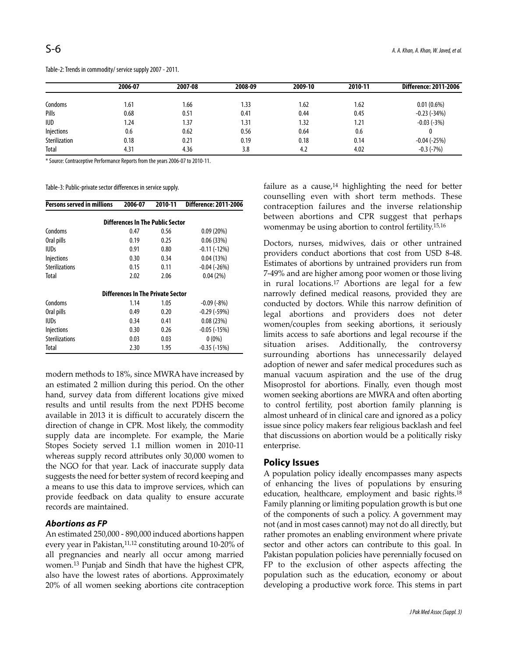|                      | 2006-07 | 2007-08 | 2008-09 | 2009-10 | 2010-11 | <b>Difference: 2011-2006</b> |
|----------------------|---------|---------|---------|---------|---------|------------------------------|
| Condoms              | 1.61    | 1.66    | 1.33    | 1.62    | 1.62    | $0.01(0.6\%)$                |
| Pills                | 0.68    | 0.51    | 0.41    | 0.44    | 0.45    | $-0.23$ ( $-34\%$ )          |
| <b>IUD</b>           | 1.24    | 1.37    | 1.31    | 1.32    | 1.21    | $-0.03(-3%)$                 |
| Injections           | 0.6     | 0.62    | 0.56    | 0.64    | 0.6     |                              |
| <b>Sterilization</b> | 0.18    | 0.21    | 0.19    | 0.18    | 0.14    | $-0.04(-25%)$                |
| Total                | 4.31    | 4.36    | 3.8     | 4.2     | 4.02    | $-0.3$ ( $-7\%$ )            |

Table-2: Trends in commodity/ service supply 2007 - 2011.

\* Source: Contraceptive Performance Reports from the years 2006-07 to 2010-11.

Table-3: Public-private sector differences in service supply.

| <b>Persons served in millions</b> | 2006-07                                  | 2010-11 | <b>Difference: 2011-2006</b> |
|-----------------------------------|------------------------------------------|---------|------------------------------|
|                                   | <b>Differences In The Public Sector</b>  |         |                              |
| Condoms                           | 0.47                                     | 0.56    | 0.09(20%)                    |
| Oral pills                        | 0.19                                     | 0.25    | 0.06(33%)                    |
| <b>IUDs</b>                       | 0.91                                     | 0.80    | $-0.11(-12%)$                |
| <b>Injections</b>                 | 0.30                                     | 0.34    | 0.04(13%)                    |
| <b>Sterilizations</b>             | 0.15                                     | 0.11    | $-0.04$ ( $-26\%$ )          |
| Total                             | 2.02                                     | 2.06    | 0.04(2%)                     |
|                                   | <b>Differences In The Private Sector</b> |         |                              |
| Condoms                           | 1.14                                     | 1.05    | $-0.09(-8%)$                 |
| Oral pills                        | 0.49                                     | 0.20    | $-0.29(-59%)$                |
| <b>IUDs</b>                       | 0.34                                     | 0.41    | 0.08(23%)                    |
| Injections                        | 0.30                                     | 0.26    | $-0.05$ ( $-15\%$ )          |
| <b>Sterilizations</b>             | 0.03                                     | 0.03    | $0(0\%)$                     |
| Total                             | 2.30                                     | 1.95    | $-0.35$ ( $-15\%$ )          |

modern methods to 18%, since MWRA have increased by an estimated 2 million during this period. On the other hand, survey data from different locations give mixed results and until results from the next PDHS become available in 2013 it is difficult to accurately discern the direction of change in CPR. Most likely, the commodity supply data are incomplete. For example, the Marie Stopes Society served 1.1 million women in 2010-11 whereas supply record attributes only 30,000 women to the NGO for that year. Lack of inaccurate supply data suggests the need for better system of record keeping and a means to use this data to improve services, which can provide feedback on data quality to ensure accurate records are maintained.

#### **Abortions as FP**

An estimated 250,000 - 890,000 induced abortions happen every year in Pakistan,<sup>11,12</sup> constituting around 10-20% of all pregnancies and nearly all occur among married women.<sup>13</sup> Punjab and Sindh that have the highest CPR, also have the lowest rates of abortions. Approximately 20% of all women seeking abortions cite contraception

failure as a cause, $14$  highlighting the need for better counselling even with short term methods. These contraception failures and the inverse relationship between abortions and CPR suggest that perhaps womenmay be using abortion to control fertility.15,16

Doctors, nurses, midwives, dais or other untrained providers conduct abortions that cost from USD 8-48. Estimates of abortions by untrained providers run from 7-49% and are higher among poor women or those living in rural locations.<sup>17</sup> Abortions are legal for a few narrowly defined medical reasons, provided they are conducted by doctors. While this narrow definition of legal abortions and providers does not deter women/couples from seeking abortions, it seriously limits access to safe abortions and legal recourse if the situation arises. Additionally, the controversy surrounding abortions has unnecessarily delayed adoption of newer and safer medical procedures such as manual vacuum aspiration and the use of the drug Misoprostol for abortions. Finally, even though most women seeking abortions are MWRA and often aborting to control fertility, post abortion family planning is almost unheard of in clinical care and ignored as a policy issue since policy makers fear religious backlash and feel that discussions on abortion would be a politically risky enterprise.

### **Policy Issues**

A population policy ideally encompasses many aspects of enhancing the lives of populations by ensuring education, healthcare, employment and basic rights.<sup>18</sup> Family planning or limiting population growth is but one of the components of such a policy. A government may not (and in most cases cannot) may not do all directly, but rather promotes an enabling environment where private sector and other actors can contribute to this goal. In Pakistan population policies have perennially focused on FP to the exclusion of other aspects affecting the population such as the education, economy or about developing a productive work force. This stems in part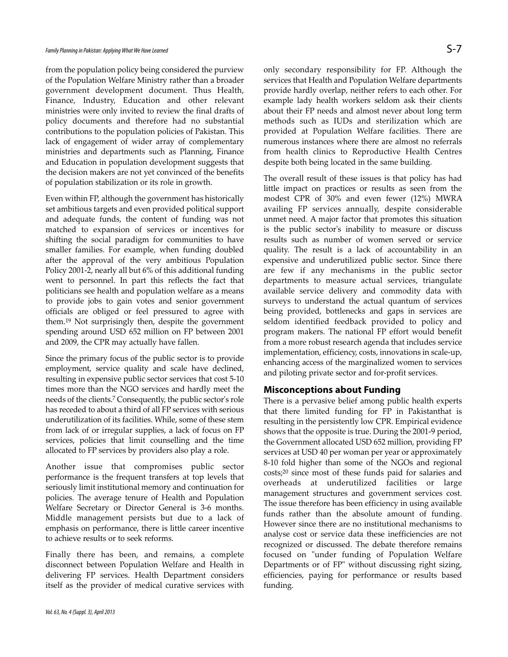from the population policy being considered the purview of the Population Welfare Ministry rather than a broader government development document. Thus Health, Finance, Industry, Education and other relevant ministries were only invited to review the final drafts of policy documents and therefore had no substantial contributions to the population policies of Pakistan. This lack of engagement of wider array of complementary ministries and departments such as Planning, Finance and Education in population development suggests that the decision makers are not yet convinced of the benefits of population stabilization or its role in growth.

Even within FP, although the government has historically set ambitious targets and even provided political support and adequate funds, the content of funding was not matched to expansion of services or incentives for shifting the social paradigm for communities to have smaller families. For example, when funding doubled after the approval of the very ambitious Population Policy 2001-2, nearly all but 6% of this additional funding went to personnel. In part this reflects the fact that politicians see health and population welfare as a means to provide jobs to gain votes and senior government officials are obliged or feel pressured to agree with them.<sup>19</sup> Not surprisingly then, despite the government spending around USD 652 million on FP between 2001 and 2009, the CPR may actually have fallen.

Since the primary focus of the public sector is to provide employment, service quality and scale have declined, resulting in expensive public sector services that cost 5-10 times more than the NGO services and hardly meet the needs of the clients.<sup>7</sup> Consequently, the public sector's role has receded to about a third of all FP services with serious underutilization of its facilities. While, some of these stem from lack of or irregular supplies, a lack of focus on FP services, policies that limit counselling and the time allocated to FP services by providers also play a role.

Another issue that compromises public sector performance is the frequent transfers at top levels that seriously limit institutional memory and continuation for policies. The average tenure of Health and Population Welfare Secretary or Director General is 3-6 months. Middle management persists but due to a lack of emphasis on performance, there is little career incentive to achieve results or to seek reforms.

Finally there has been, and remains, a complete disconnect between Population Welfare and Health in delivering FP services. Health Department considers itself as the provider of medical curative services with

only secondary responsibility for FP. Although the services that Health and Population Welfare departments provide hardly overlap, neither refers to each other. For example lady health workers seldom ask their clients about their FP needs and almost never about long term methods such as IUDs and sterilization which are provided at Population Welfare facilities. There are numerous instances where there are almost no referrals from health clinics to Reproductive Health Centres despite both being located in the same building.

The overall result of these issues is that policy has had little impact on practices or results as seen from the modest CPR of 30% and even fewer (12%) MWRA availing FP services annually, despite considerable unmet need. A major factor that promotes this situation is the public sector's inability to measure or discuss results such as number of women served or service quality. The result is a lack of accountability in an expensive and underutilized public sector. Since there are few if any mechanisms in the public sector departments to measure actual services, triangulate available service delivery and commodity data with surveys to understand the actual quantum of services being provided, bottlenecks and gaps in services are seldom identified feedback provided to policy and program makers. The national FP effort would benefit from a more robust research agenda that includes service implementation, efficiency, costs, innovations in scale-up, enhancing access of the marginalized women to services and piloting private sector and for-profit services.

### **Misconceptions about Funding**

There is a pervasive belief among public health experts that there limited funding for FP in Pakistanthat is resulting in the persistently low CPR. Empirical evidence shows that the opposite is true. During the 2001-9 period, the Government allocated USD 652 million, providing FP services at USD 40 per woman per year or approximately 8-10 fold higher than some of the NGOs and regional costs;<sup>20</sup> since most of these funds paid for salaries and overheads at underutilized facilities or large management structures and government services cost. The issue therefore has been efficiency in using available funds rather than the absolute amount of funding. However since there are no institutional mechanisms to analyse cost or service data these inefficiencies are not recognized or discussed. The debate therefore remains focused on "under funding of Population Welfare Departments or of FP" without discussing right sizing, efficiencies, paying for performance or results based funding.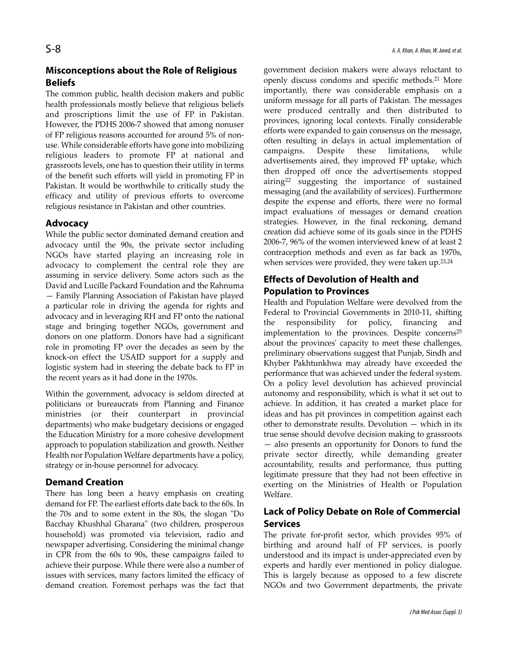# **Misconceptions about the Role of Religious Beliefs**

The common public, health decision makers and public health professionals mostly believe that religious beliefs and proscriptions limit the use of FP in Pakistan. However, the PDHS 2006-7 showed that among nonuser of FP religious reasons accounted for around 5% of nonuse. While considerable efforts have gone into mobilizing religious leaders to promote FP at national and grassroots levels, one has to question their utility in terms of the benefit such efforts will yield in promoting FP in Pakistan. It would be worthwhile to critically study the efficacy and utility of previous efforts to overcome religious resistance in Pakistan and other countries.

## **Advocacy**

While the public sector dominated demand creation and advocacy until the 90s, the private sector including NGOs have started playing an increasing role in advocacy to complement the central role they are assuming in service delivery. Some actors such as the David and Lucille Packard Foundation and the Rahnuma — Family Planning Association of Pakistan have played a particular role in driving the agenda for rights and advocacy and in leveraging RH and FP onto the national stage and bringing together NGOs, government and donors on one platform. Donors have had a significant role in promoting FP over the decades as seen by the knock-on effect the USAID support for a supply and logistic system had in steering the debate back to FP in the recent years as it had done in the 1970s.

Within the government, advocacy is seldom directed at politicians or bureaucrats from Planning and Finance ministries (or their counterpart in provincial departments) who make budgetary decisions or engaged the Education Ministry for a more cohesive development approach to population stabilization and growth. Neither Health nor Population Welfare departments have a policy, strategy or in-house personnel for advocacy.

## **Demand Creation**

There has long been a heavy emphasis on creating demand for FP. The earliest efforts date back to the 60s. In the 70s and to some extent in the 80s, the slogan "Do Bacchay Khushhal Gharana" (two children, prosperous household) was promoted via television, radio and newspaper advertising. Considering the minimal change in CPR from the 60s to 90s, these campaigns failed to achieve their purpose. While there were also a number of issues with services, many factors limited the efficacy of demand creation. Foremost perhaps was the fact that government decision makers were always reluctant to openly discuss condoms and specific methods.<sup>21</sup> More importantly, there was considerable emphasis on a uniform message for all parts of Pakistan. The messages were produced centrally and then distributed to provinces, ignoring local contexts. Finally considerable efforts were expanded to gain consensus on the message, often resulting in delays in actual implementation of campaigns. Despite these limitations, while advertisements aired, they improved FP uptake, which then dropped off once the advertisements stopped airing<sup>22</sup> suggesting the importance of sustained messaging (and the availability of services). Furthermore despite the expense and efforts, there were no formal impact evaluations of messages or demand creation strategies. However, in the final reckoning, demand creation did achieve some of its goals since in the PDHS 2006-7, 96% of the women interviewed knew of at least 2 contraception methods and even as far back as 1970s, when services were provided, they were taken up.<sup>23,24</sup>

# **Effects of Devolution of Health and Population to Provinces**

Health and Population Welfare were devolved from the Federal to Provincial Governments in 2010-11, shifting the responsibility for policy, financing and implementation to the provinces. Despite concerns<sup>25</sup> about the provinces' capacity to meet these challenges, preliminary observations suggest that Punjab, Sindh and Khyber Pakhtunkhwa may already have exceeded the performance that was achieved under the federal system. On a policy level devolution has achieved provincial autonomy and responsibility, which is what it set out to achieve. In addition, it has created a market place for ideas and has pit provinces in competition against each other to demonstrate results. Devolution — which in its true sense should devolve decision making to grassroots — also presents an opportunity for Donors to fund the private sector directly, while demanding greater accountability, results and performance, thus putting legitimate pressure that they had not been effective in exerting on the Ministries of Health or Population Welfare.

# **Lack of Policy Debate on Role of Commercial Services**

The private for-profit sector, which provides 95% of birthing and around half of FP services, is poorly understood and its impact is under-appreciated even by experts and hardly ever mentioned in policy dialogue. This is largely because as opposed to a few discrete NGOs and two Government departments, the private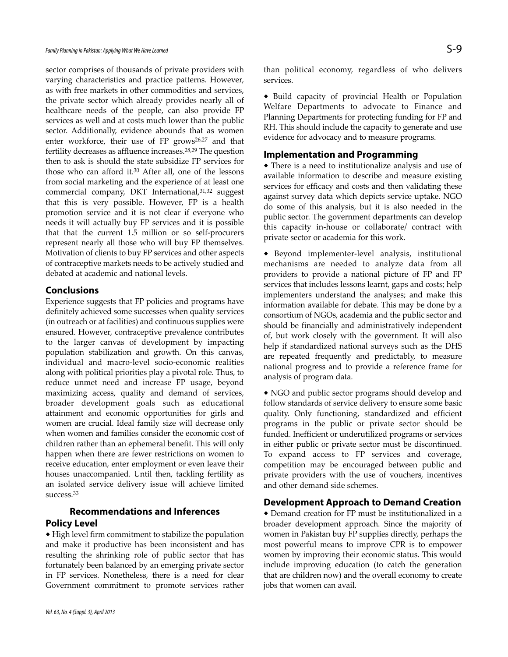sector comprises of thousands of private providers with varying characteristics and practice patterns. However, as with free markets in other commodities and services, the private sector which already provides nearly all of healthcare needs of the people, can also provide FP services as well and at costs much lower than the public sector. Additionally, evidence abounds that as women enter workforce, their use of FP grows<sup>26,27</sup> and that fertility decreases as affluence increases.28,29 The question then to ask is should the state subsidize FP services for those who can afford it.<sup>30</sup> After all, one of the lessons from social marketing and the experience of at least one commercial company, DKT International, 31,32 suggest that this is very possible. However, FP is a health promotion service and it is not clear if everyone who needs it will actually buy FP services and it is possible that that the current 1.5 million or so self-procurers represent nearly all those who will buy FP themselves. Motivation of clients to buy FP services and other aspects of contraceptive markets needs to be actively studied and debated at academic and national levels.

#### **Conclusions**

Experience suggests that FP policies and programs have definitely achieved some successes when quality services (in outreach or at facilities) and continuous supplies were ensured. However, contraceptive prevalence contributes to the larger canvas of development by impacting population stabilization and growth. On this canvas, individual and macro-level socio-economic realities along with political priorities play a pivotal role. Thus, to reduce unmet need and increase FP usage, beyond maximizing access, quality and demand of services, broader development goals such as educational attainment and economic opportunities for girls and women are crucial. Ideal family size will decrease only when women and families consider the economic cost of children rather than an ephemeral benefit. This will only happen when there are fewer restrictions on women to receive education, enter employment or even leave their houses unaccompanied. Until then, tackling fertility as an isolated service delivery issue will achieve limited success.<sup>33</sup>

# **Recommendations and Inferences Policy Level**

 High level firm commitment to stabilize the population and make it productive has been inconsistent and has resulting the shrinking role of public sector that has fortunately been balanced by an emerging private sector in FP services. Nonetheless, there is a need for clear Government commitment to promote services rather than political economy, regardless of who delivers services.

 Build capacity of provincial Health or Population Welfare Departments to advocate to Finance and Planning Departments for protecting funding for FP and RH. This should include the capacity to generate and use evidence for advocacy and to measure programs.

#### **Implementation and Programming**

 There is a need to institutionalize analysis and use of available information to describe and measure existing services for efficacy and costs and then validating these against survey data which depicts service uptake. NGO do some of this analysis, but it is also needed in the public sector. The government departments can develop this capacity in-house or collaborate/ contract with private sector or academia for this work.

 Beyond implementer-level analysis, institutional mechanisms are needed to analyze data from all providers to provide a national picture of FP and FP services that includes lessons learnt, gaps and costs; help implementers understand the analyses; and make this information available for debate. This may be done by a consortium of NGOs, academia and the public sector and should be financially and administratively independent of, but work closely with the government. It will also help if standardized national surveys such as the DHS are repeated frequently and predictably, to measure national progress and to provide a reference frame for analysis of program data.

 NGO and public sector programs should develop and follow standards of service delivery to ensure some basic quality. Only functioning, standardized and efficient programs in the public or private sector should be funded. Inefficient or underutilized programs or services in either public or private sector must be discontinued. To expand access to FP services and coverage, competition may be encouraged between public and private providers with the use of vouchers, incentives and other demand side schemes.

### **Development Approach to Demand Creation**

 Demand creation for FP must be institutionalized in a broader development approach. Since the majority of women in Pakistan buy FP supplies directly, perhaps the most powerful means to improve CPR is to empower women by improving their economic status. This would include improving education (to catch the generation that are children now) and the overall economy to create jobs that women can avail.